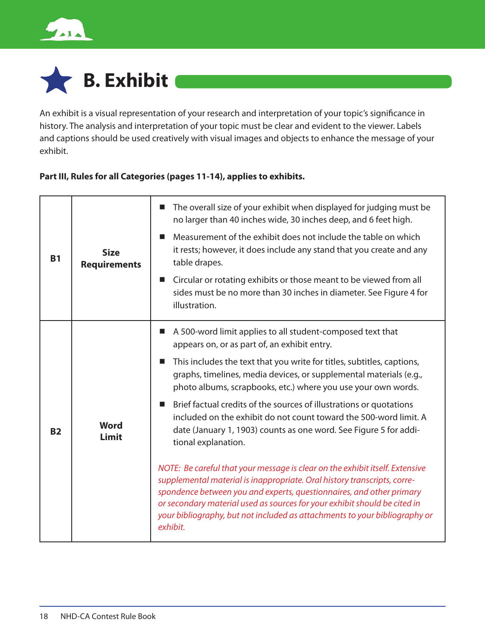

# **B. Exhibit**

An exhibit is a visual representation of your research and interpretation of your topic's significance in history. The analysis and interpretation of your topic must be clear and evident to the viewer. Labels and captions should be used creatively with visual images and objects to enhance the message of your exhibit.

#### **Part III, Rules for all Categories (pages 11-14), applies to exhibits.**

| <b>B1</b> | <b>Size</b><br><b>Requirements</b> | The overall size of your exhibit when displayed for judging must be<br>ш<br>no larger than 40 inches wide, 30 inches deep, and 6 feet high.<br>Measurement of the exhibit does not include the table on which<br>■<br>it rests; however, it does include any stand that you create and any<br>table drapes.<br>Circular or rotating exhibits or those meant to be viewed from all<br>$\blacksquare$<br>sides must be no more than 30 inches in diameter. See Figure 4 for<br>illustration.                                                                                                                                                                                                                                                                                                                                                                                                                                                                                                               |
|-----------|------------------------------------|----------------------------------------------------------------------------------------------------------------------------------------------------------------------------------------------------------------------------------------------------------------------------------------------------------------------------------------------------------------------------------------------------------------------------------------------------------------------------------------------------------------------------------------------------------------------------------------------------------------------------------------------------------------------------------------------------------------------------------------------------------------------------------------------------------------------------------------------------------------------------------------------------------------------------------------------------------------------------------------------------------|
| <b>B2</b> | <b>Word</b><br>Limit               | A 500-word limit applies to all student-composed text that<br>ш<br>appears on, or as part of, an exhibit entry.<br>This includes the text that you write for titles, subtitles, captions,<br>ш<br>graphs, timelines, media devices, or supplemental materials (e.g.,<br>photo albums, scrapbooks, etc.) where you use your own words.<br>Brief factual credits of the sources of illustrations or quotations<br>$\mathbf{r}$<br>included on the exhibit do not count toward the 500-word limit. A<br>date (January 1, 1903) counts as one word. See Figure 5 for addi-<br>tional explanation.<br>NOTE: Be careful that your message is clear on the exhibit itself. Extensive<br>supplemental material is inappropriate. Oral history transcripts, corre-<br>spondence between you and experts, questionnaires, and other primary<br>or secondary material used as sources for your exhibit should be cited in<br>your bibliography, but not included as attachments to your bibliography or<br>exhibit. |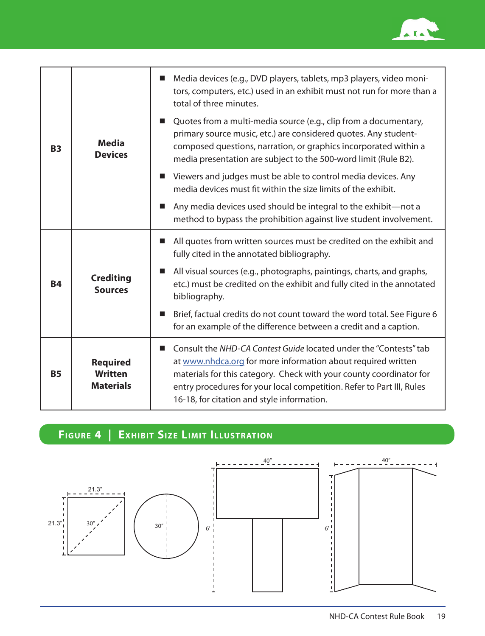

|           | Media<br><b>Devices</b>                               | Media devices (e.g., DVD players, tablets, mp3 players, video moni-<br>ш<br>tors, computers, etc.) used in an exhibit must not run for more than a<br>total of three minutes.                                                                                                                                                   |
|-----------|-------------------------------------------------------|---------------------------------------------------------------------------------------------------------------------------------------------------------------------------------------------------------------------------------------------------------------------------------------------------------------------------------|
| <b>B3</b> |                                                       | Quotes from a multi-media source (e.g., clip from a documentary,<br>■<br>primary source music, etc.) are considered quotes. Any student-<br>composed questions, narration, or graphics incorporated within a<br>media presentation are subject to the 500-word limit (Rule B2).                                                 |
|           |                                                       | Viewers and judges must be able to control media devices. Any<br>ш<br>media devices must fit within the size limits of the exhibit.                                                                                                                                                                                             |
|           |                                                       | Any media devices used should be integral to the exhibit-not a<br>п<br>method to bypass the prohibition against live student involvement.                                                                                                                                                                                       |
| <b>B4</b> | <b>Crediting</b><br><b>Sources</b>                    | All quotes from written sources must be credited on the exhibit and<br>ш<br>fully cited in the annotated bibliography.                                                                                                                                                                                                          |
|           |                                                       | All visual sources (e.g., photographs, paintings, charts, and graphs,<br>■<br>etc.) must be credited on the exhibit and fully cited in the annotated<br>bibliography.                                                                                                                                                           |
|           |                                                       | Brief, factual credits do not count toward the word total. See Figure 6<br>ш<br>for an example of the difference between a credit and a caption.                                                                                                                                                                                |
| <b>B5</b> | <b>Required</b><br><b>Written</b><br><b>Materials</b> | Consult the NHD-CA Contest Guide located under the "Contests" tab<br>at www.nhdca.org for more information about required written<br>materials for this category. Check with your county coordinator for<br>entry procedures for your local competition. Refer to Part III, Rules<br>16-18, for citation and style information. |

## **FIGURE 4 | EXHIBIT SIZE LIMIT ILLUSTRATION**

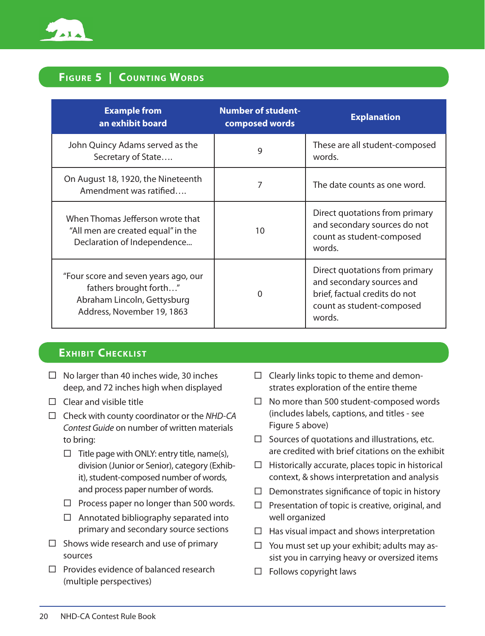

#### **FIGURE 5 | COUNTING WORDS**

| <b>Example from</b><br>an exhibit board                                                                                     | <b>Number of student-</b><br>composed words | <b>Explanation</b>                                                                                                                  |
|-----------------------------------------------------------------------------------------------------------------------------|---------------------------------------------|-------------------------------------------------------------------------------------------------------------------------------------|
| John Quincy Adams served as the<br>Secretary of State                                                                       | 9                                           | These are all student-composed<br>words.                                                                                            |
| On August 18, 1920, the Nineteenth<br>Amendment was ratified                                                                | 7                                           | The date counts as one word.                                                                                                        |
| When Thomas Jefferson wrote that<br>"All men are created equal" in the<br>Declaration of Independence                       | 10                                          | Direct quotations from primary<br>and secondary sources do not<br>count as student-composed<br>words.                               |
| "Four score and seven years ago, our<br>fathers brought forth"<br>Abraham Lincoln, Gettysburg<br>Address, November 19, 1863 | 0                                           | Direct quotations from primary<br>and secondary sources and<br>brief, factual credits do not<br>count as student-composed<br>words. |

#### **EXHIBIT CHECKLIST**

- $\Box$  No larger than 40 inches wide, 30 inches deep, and 72 inches high when displayed
- $\Box$  Clear and visible title
- Check with county coordinator or the *NHD-CA Contest Guide* on number of written materials to bring:
	- $\Box$  Title page with ONLY: entry title, name(s), division (Junior or Senior), category (Exhibit), student-composed number of words, and process paper number of words.
	- $\Box$  Process paper no longer than 500 words.
	- $\Box$  Annotated bibliography separated into primary and secondary source sections
- $\Box$  Shows wide research and use of primary sources
- $\square$  Provides evidence of balanced research (multiple perspectives)
- $\Box$  Clearly links topic to theme and demonstrates exploration of the entire theme
- $\Box$  No more than 500 student-composed words (includes labels, captions, and titles - see Figure 5 above)
- $\Box$  Sources of quotations and illustrations, etc. are credited with brief citations on the exhibit
- $\Box$  Historically accurate, places topic in historical context, & shows interpretation and analysis
- $\Box$  Demonstrates significance of topic in history
- $\Box$  Presentation of topic is creative, original, and well organized
- $\Box$  Has visual impact and shows interpretation
- $\Box$  You must set up your exhibit; adults may assist you in carrying heavy or oversized items
- $\Box$  Follows copyright laws